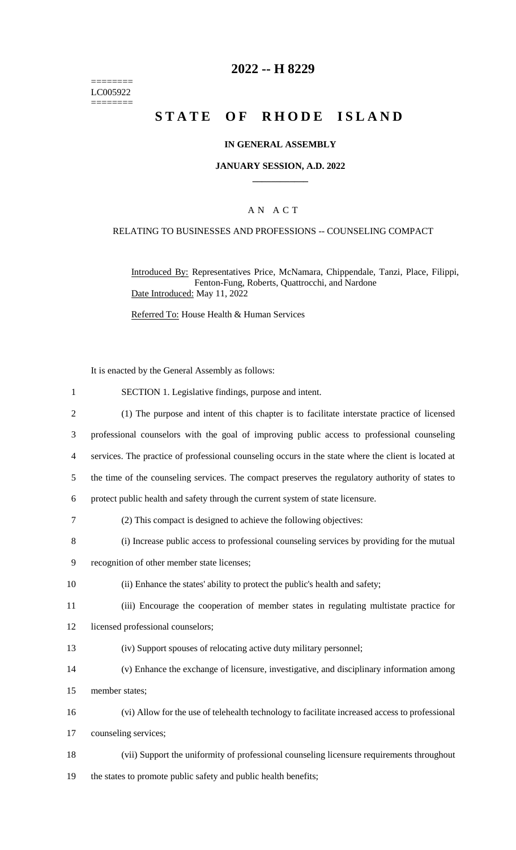======== LC005922  $=$ 

# **2022 -- H 8229**

# **STATE OF RHODE ISLAND**

## **IN GENERAL ASSEMBLY**

#### **JANUARY SESSION, A.D. 2022 \_\_\_\_\_\_\_\_\_\_\_\_**

#### A N A C T

### RELATING TO BUSINESSES AND PROFESSIONS -- COUNSELING COMPACT

Introduced By: Representatives Price, McNamara, Chippendale, Tanzi, Place, Filippi, Fenton-Fung, Roberts, Quattrocchi, and Nardone Date Introduced: May 11, 2022

Referred To: House Health & Human Services

It is enacted by the General Assembly as follows:

| $\mathbf{1}$     | SECTION 1. Legislative findings, purpose and intent.                                                 |
|------------------|------------------------------------------------------------------------------------------------------|
| $\mathfrak{2}$   | (1) The purpose and intent of this chapter is to facilitate interstate practice of licensed          |
| 3                | professional counselors with the goal of improving public access to professional counseling          |
| $\overline{4}$   | services. The practice of professional counseling occurs in the state where the client is located at |
| 5                | the time of the counseling services. The compact preserves the regulatory authority of states to     |
| 6                | protect public health and safety through the current system of state licensure.                      |
| $\boldsymbol{7}$ | (2) This compact is designed to achieve the following objectives:                                    |
| 8                | (i) Increase public access to professional counseling services by providing for the mutual           |
| 9                | recognition of other member state licenses;                                                          |
| 10               | (ii) Enhance the states' ability to protect the public's health and safety;                          |
| 11               | (iii) Encourage the cooperation of member states in regulating multistate practice for               |
| 12               | licensed professional counselors;                                                                    |
| 13               | (iv) Support spouses of relocating active duty military personnel;                                   |
| 14               | (v) Enhance the exchange of licensure, investigative, and disciplinary information among             |
| 15               | member states;                                                                                       |
| 16               | (vi) Allow for the use of telehealth technology to facilitate increased access to professional       |
| 17               | counseling services;                                                                                 |
| 18               | (vii) Support the uniformity of professional counseling licensure requirements throughout            |
| 19               | the states to promote public safety and public health benefits;                                      |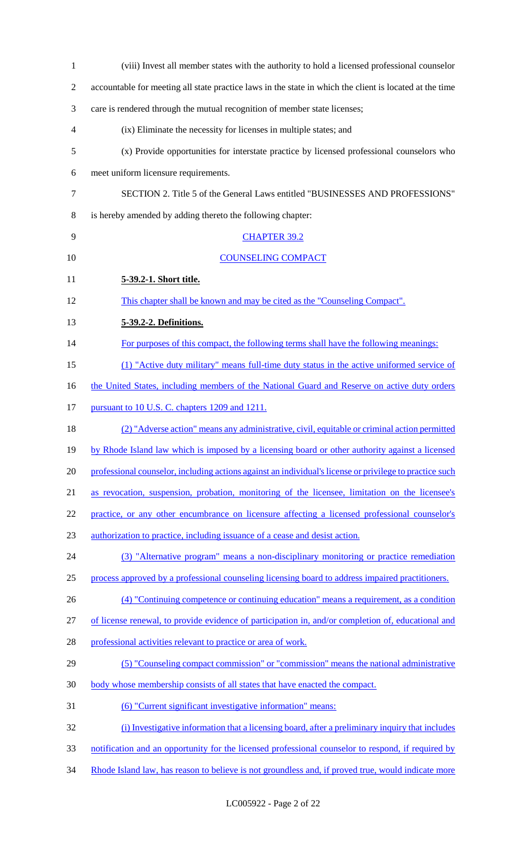| $\mathbf{1}$   | (viii) Invest all member states with the authority to hold a licensed professional counselor            |
|----------------|---------------------------------------------------------------------------------------------------------|
| $\overline{2}$ | accountable for meeting all state practice laws in the state in which the client is located at the time |
| 3              | care is rendered through the mutual recognition of member state licenses;                               |
| 4              | (ix) Eliminate the necessity for licenses in multiple states; and                                       |
| 5              | (x) Provide opportunities for interstate practice by licensed professional counselors who               |
| 6              | meet uniform licensure requirements.                                                                    |
| 7              | SECTION 2. Title 5 of the General Laws entitled "BUSINESSES AND PROFESSIONS"                            |
| 8              | is hereby amended by adding thereto the following chapter:                                              |
| 9              | <b>CHAPTER 39.2</b>                                                                                     |
| 10             | <b>COUNSELING COMPACT</b>                                                                               |
| 11             | 5-39.2-1. Short title.                                                                                  |
| 12             | This chapter shall be known and may be cited as the "Counseling Compact".                               |
| 13             | 5-39.2-2. Definitions.                                                                                  |
| 14             | For purposes of this compact, the following terms shall have the following meanings:                    |
| 15             | (1) "Active duty military" means full-time duty status in the active uniformed service of               |
| 16             | the United States, including members of the National Guard and Reserve on active duty orders            |
| 17             | pursuant to 10 U.S. C. chapters 1209 and 1211.                                                          |
| 18             | (2) "Adverse action" means any administrative, civil, equitable or criminal action permitted            |
| 19             | by Rhode Island law which is imposed by a licensing board or other authority against a licensed         |
| 20             | professional counselor, including actions against an individual's license or privilege to practice such |
| 21             | as revocation, suspension, probation, monitoring of the licensee, limitation on the licensee's          |
| 22             | practice, or any other encumbrance on licensure affecting a licensed professional counselor's           |
| 23             | authorization to practice, including issuance of a cease and desist action.                             |
| 24             | (3) "Alternative program" means a non-disciplinary monitoring or practice remediation                   |
| 25             | process approved by a professional counseling licensing board to address impaired practitioners.        |
| 26             | (4) "Continuing competence or continuing education" means a requirement, as a condition                 |
| 27             | of license renewal, to provide evidence of participation in, and/or completion of, educational and      |
| 28             | professional activities relevant to practice or area of work.                                           |
| 29             | (5) "Counseling compact commission" or "commission" means the national administrative                   |
| 30             | body whose membership consists of all states that have enacted the compact.                             |
| 31             | (6) "Current significant investigative information" means:                                              |
| 32             | (i) Investigative information that a licensing board, after a preliminary inquiry that includes         |
| 33             | notification and an opportunity for the licensed professional counselor to respond, if required by      |
| 34             | Rhode Island law, has reason to believe is not groundless and, if proved true, would indicate more      |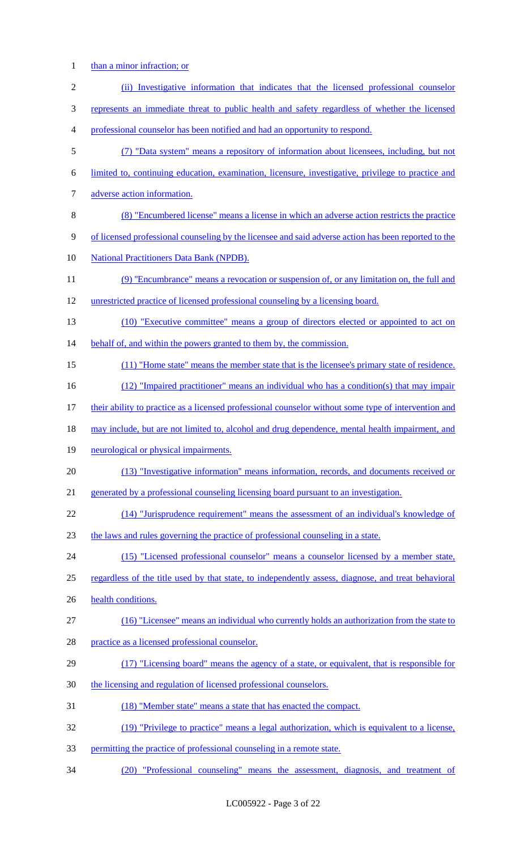1 than a minor infraction; or

| $\mathbf{2}$     | (ii) Investigative information that indicates that the licensed professional counselor               |
|------------------|------------------------------------------------------------------------------------------------------|
| 3                | represents an immediate threat to public health and safety regardless of whether the licensed        |
| 4                | professional counselor has been notified and had an opportunity to respond.                          |
| 5                | (7) "Data system" means a repository of information about licensees, including, but not              |
| 6                | limited to, continuing education, examination, licensure, investigative, privilege to practice and   |
| $\boldsymbol{7}$ | adverse action information.                                                                          |
| $8\,$            | (8) "Encumbered license" means a license in which an adverse action restricts the practice           |
| $\mathbf{9}$     | of licensed professional counseling by the licensee and said adverse action has been reported to the |
| 10               | <b>National Practitioners Data Bank (NPDB).</b>                                                      |
| 11               | (9) "Encumbrance" means a revocation or suspension of, or any limitation on, the full and            |
| 12               | unrestricted practice of licensed professional counseling by a licensing board.                      |
| 13               | (10) "Executive committee" means a group of directors elected or appointed to act on                 |
| 14               | behalf of, and within the powers granted to them by, the commission.                                 |
| 15               | (11) "Home state" means the member state that is the licensee's primary state of residence.          |
| 16               | (12) "Impaired practitioner" means an individual who has a condition(s) that may impair              |
| 17               | their ability to practice as a licensed professional counselor without some type of intervention and |
| 18               | may include, but are not limited to, alcohol and drug dependence, mental health impairment, and      |
| 19               | neurological or physical impairments.                                                                |
| 20               | (13) "Investigative information" means information, records, and documents received or               |
| 21               | generated by a professional counseling licensing board pursuant to an investigation.                 |
| 22               | (14) "Jurisprudence requirement" means the assessment of an individual's knowledge of                |
| 23               | the laws and rules governing the practice of professional counseling in a state.                     |
| 24               | (15) "Licensed professional counselor" means a counselor licensed by a member state,                 |
| 25               | regardless of the title used by that state, to independently assess, diagnose, and treat behavioral  |
| 26               | health conditions.                                                                                   |
| 27               | (16) "Licensee" means an individual who currently holds an authorization from the state to           |
| 28               | practice as a licensed professional counselor.                                                       |
| 29               | (17) "Licensing board" means the agency of a state, or equivalent, that is responsible for           |
| 30               | the licensing and regulation of licensed professional counselors.                                    |
| 31               | (18) "Member state" means a state that has enacted the compact.                                      |
| 32               | (19) "Privilege to practice" means a legal authorization, which is equivalent to a license,          |
| 33               | permitting the practice of professional counseling in a remote state.                                |
| 34               | (20) "Professional counseling" means the assessment, diagnosis, and treatment of                     |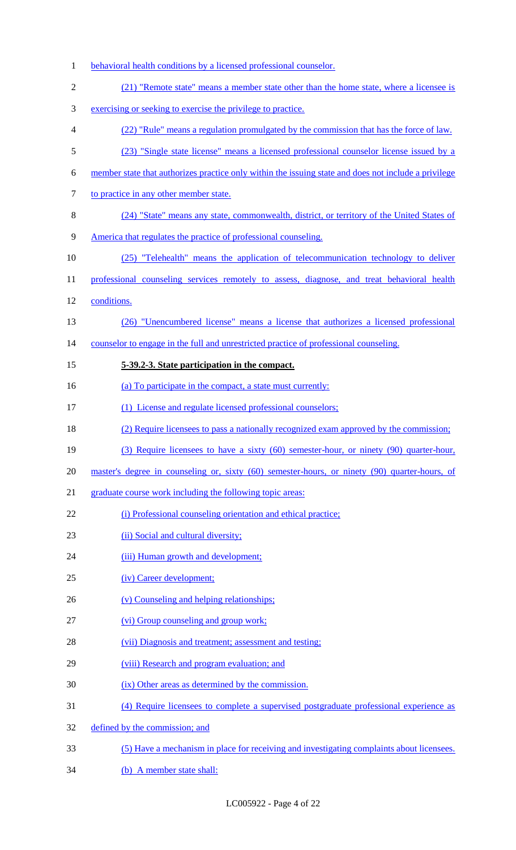1 behavioral health conditions by a licensed professional counselor. (21) "Remote state" means a member state other than the home state, where a licensee is exercising or seeking to exercise the privilege to practice. (22) "Rule" means a regulation promulgated by the commission that has the force of law. (23) "Single state license" means a licensed professional counselor license issued by a member state that authorizes practice only within the issuing state and does not include a privilege 7 to practice in any other member state. (24) "State" means any state, commonwealth, district, or territory of the United States of America that regulates the practice of professional counseling. (25) "Telehealth" means the application of telecommunication technology to deliver 11 professional counseling services remotely to assess, diagnose, and treat behavioral health conditions. (26) "Unencumbered license" means a license that authorizes a licensed professional 14 counselor to engage in the full and unrestricted practice of professional counseling. **5-39.2-3. State participation in the compact.**  16 (a) To participate in the compact, a state must currently: (1) License and regulate licensed professional counselors; (2) Require licensees to pass a nationally recognized exam approved by the commission; (3) Require licensees to have a sixty (60) semester-hour, or ninety (90) quarter-hour, master's degree in counseling or, sixty (60) semester-hours, or ninety (90) quarter-hours, of graduate course work including the following topic areas: 22 (i) Professional counseling orientation and ethical practice; 23 (ii) Social and cultural diversity; 24 (iii) Human growth and development; (iv) Career development; 26 (v) Counseling and helping relationships; (vi) Group counseling and group work; 28 (vii) Diagnosis and treatment; assessment and testing; (viii) Research and program evaluation; and (ix) Other areas as determined by the commission. (4) Require licensees to complete a supervised postgraduate professional experience as defined by the commission; and (5) Have a mechanism in place for receiving and investigating complaints about licensees. (b) A member state shall: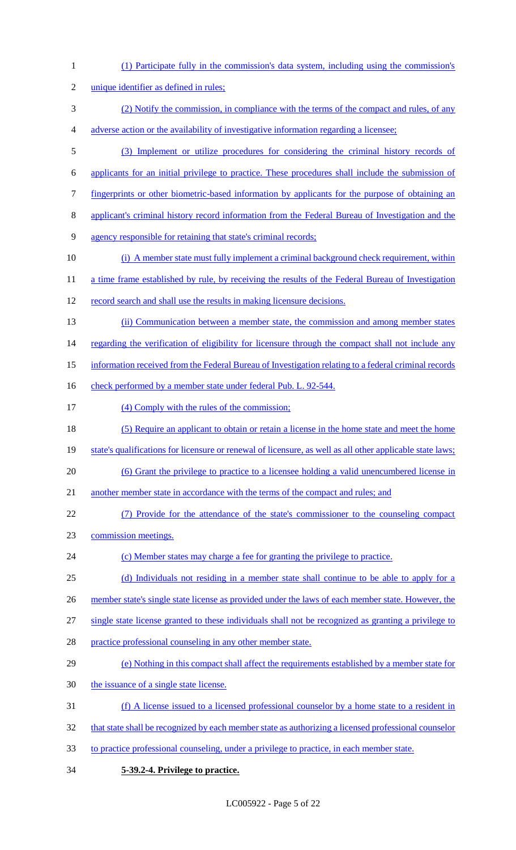- (1) Participate fully in the commission's data system, including using the commission's unique identifier as defined in rules; (2) Notify the commission, in compliance with the terms of the compact and rules, of any adverse action or the availability of investigative information regarding a licensee; (3) Implement or utilize procedures for considering the criminal history records of applicants for an initial privilege to practice. These procedures shall include the submission of fingerprints or other biometric-based information by applicants for the purpose of obtaining an applicant's criminal history record information from the Federal Bureau of Investigation and the agency responsible for retaining that state's criminal records; 10 (i) A member state must fully implement a criminal background check requirement, within 11 a time frame established by rule, by receiving the results of the Federal Bureau of Investigation record search and shall use the results in making licensure decisions. (ii) Communication between a member state, the commission and among member states 14 regarding the verification of eligibility for licensure through the compact shall not include any information received from the Federal Bureau of Investigation relating to a federal criminal records 16 check performed by a member state under federal Pub. L. 92-544. 17 (4) Comply with the rules of the commission; 18 (5) Require an applicant to obtain or retain a license in the home state and meet the home state's qualifications for licensure or renewal of licensure, as well as all other applicable state laws; (6) Grant the privilege to practice to a licensee holding a valid unencumbered license in 21 another member state in accordance with the terms of the compact and rules; and (7) Provide for the attendance of the state's commissioner to the counseling compact commission meetings. 24 (c) Member states may charge a fee for granting the privilege to practice. (d) Individuals not residing in a member state shall continue to be able to apply for a 26 member state's single state license as provided under the laws of each member state. However, the single state license granted to these individuals shall not be recognized as granting a privilege to practice professional counseling in any other member state. (e) Nothing in this compact shall affect the requirements established by a member state for 30 the issuance of a single state license. (f) A license issued to a licensed professional counselor by a home state to a resident in 32 that state shall be recognized by each member state as authorizing a licensed professional counselor to practice professional counseling, under a privilege to practice, in each member state.
- **5-39.2-4. Privilege to practice.**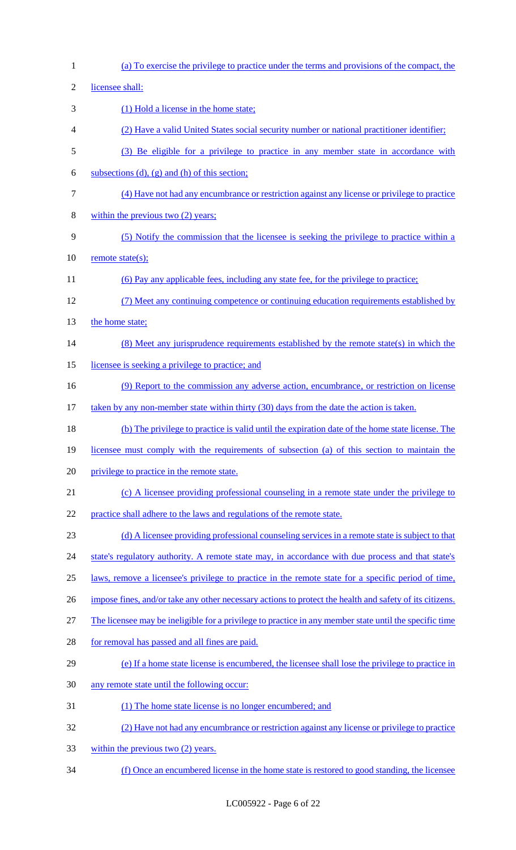| $\mathbf{1}$ | (a) To exercise the privilege to practice under the terms and provisions of the compact, the            |
|--------------|---------------------------------------------------------------------------------------------------------|
| $\mathbf{2}$ | licensee shall:                                                                                         |
| 3            | (1) Hold a license in the home state;                                                                   |
| 4            | (2) Have a valid United States social security number or national practitioner identifier;              |
| 5            | (3) Be eligible for a privilege to practice in any member state in accordance with                      |
| 6            | subsections (d), (g) and (h) of this section;                                                           |
| $\tau$       | (4) Have not had any encumbrance or restriction against any license or privilege to practice            |
| $8\,$        | within the previous two $(2)$ years;                                                                    |
| 9            | (5) Notify the commission that the licensee is seeking the privilege to practice within a               |
| 10           | remote state(s);                                                                                        |
| 11           | (6) Pay any applicable fees, including any state fee, for the privilege to practice;                    |
| 12           | (7) Meet any continuing competence or continuing education requirements established by                  |
| 13           | the home state;                                                                                         |
| 14           | (8) Meet any jurisprudence requirements established by the remote state(s) in which the                 |
| 15           | licensee is seeking a privilege to practice; and                                                        |
| 16           | (9) Report to the commission any adverse action, encumbrance, or restriction on license                 |
| 17           | taken by any non-member state within thirty (30) days from the date the action is taken.                |
| 18           | (b) The privilege to practice is valid until the expiration date of the home state license. The         |
| 19           | licensee must comply with the requirements of subsection (a) of this section to maintain the            |
| 20           | privilege to practice in the remote state.                                                              |
| 21           | (c) A licensee providing professional counseling in a remote state under the privilege to               |
| 22           | practice shall adhere to the laws and regulations of the remote state.                                  |
| 23           | (d) A licensee providing professional counseling services in a remote state is subject to that          |
| 24           | state's regulatory authority. A remote state may, in accordance with due process and that state's       |
| 25           | laws, remove a licensee's privilege to practice in the remote state for a specific period of time,      |
| 26           | impose fines, and/or take any other necessary actions to protect the health and safety of its citizens. |
| 27           | The licensee may be ineligible for a privilege to practice in any member state until the specific time  |
| 28           | for removal has passed and all fines are paid.                                                          |
| 29           | (e) If a home state license is encumbered, the licensee shall lose the privilege to practice in         |
| 30           | any remote state until the following occur:                                                             |
| 31           | (1) The home state license is no longer encumbered; and                                                 |
| 32           | (2) Have not had any encumbrance or restriction against any license or privilege to practice            |
| 33           | within the previous two $(2)$ years.                                                                    |
| 34           | (f) Once an encumbered license in the home state is restored to good standing, the licensee             |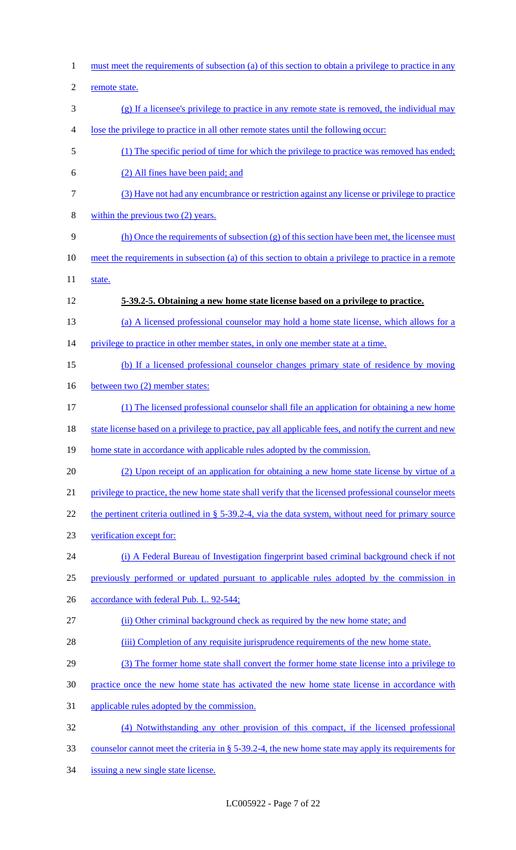must meet the requirements of subsection (a) of this section to obtain a privilege to practice in any remote state. (g) If a licensee's privilege to practice in any remote state is removed, the individual may lose the privilege to practice in all other remote states until the following occur: (1) The specific period of time for which the privilege to practice was removed has ended; (2) All fines have been paid; and (3) Have not had any encumbrance or restriction against any license or privilege to practice within the previous two (2) years. (h) Once the requirements of subsection (g) of this section have been met, the licensee must 10 meet the requirements in subsection (a) of this section to obtain a privilege to practice in a remote 11 state. **5-39.2-5. Obtaining a new home state license based on a privilege to practice.**  (a) A licensed professional counselor may hold a home state license, which allows for a 14 privilege to practice in other member states, in only one member state at a time. (b) If a licensed professional counselor changes primary state of residence by moving 16 between two (2) member states: (1) The licensed professional counselor shall file an application for obtaining a new home 18 state license based on a privilege to practice, pay all applicable fees, and notify the current and new 19 home state in accordance with applicable rules adopted by the commission. (2) Upon receipt of an application for obtaining a new home state license by virtue of a privilege to practice, the new home state shall verify that the licensed professional counselor meets 22 the pertinent criteria outlined in § 5-39.2-4, via the data system, without need for primary source verification except for: (i) A Federal Bureau of Investigation fingerprint based criminal background check if not previously performed or updated pursuant to applicable rules adopted by the commission in 26 accordance with federal Pub. L. 92-544; (ii) Other criminal background check as required by the new home state; and (iii) Completion of any requisite jurisprudence requirements of the new home state. (3) The former home state shall convert the former home state license into a privilege to practice once the new home state has activated the new home state license in accordance with applicable rules adopted by the commission. (4) Notwithstanding any other provision of this compact, if the licensed professional counselor cannot meet the criteria in § 5-39.2-4, the new home state may apply its requirements for issuing a new single state license.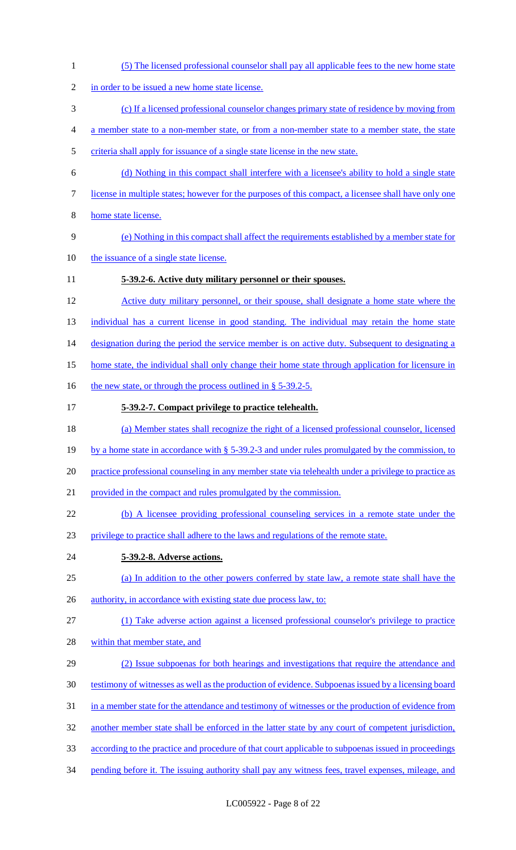(5) The licensed professional counselor shall pay all applicable fees to the new home state 2 in order to be issued a new home state license. (c) If a licensed professional counselor changes primary state of residence by moving from a member state to a non-member state, or from a non-member state to a member state, the state criteria shall apply for issuance of a single state license in the new state. (d) Nothing in this compact shall interfere with a licensee's ability to hold a single state license in multiple states; however for the purposes of this compact, a licensee shall have only one home state license. (e) Nothing in this compact shall affect the requirements established by a member state for the issuance of a single state license. **5-39.2-6. Active duty military personnel or their spouses.**  Active duty military personnel, or their spouse, shall designate a home state where the 13 individual has a current license in good standing. The individual may retain the home state 14 designation during the period the service member is on active duty. Subsequent to designating a 15 home state, the individual shall only change their home state through application for licensure in 16 the new state, or through the process outlined in § 5-39.2-5. **5-39.2-7. Compact privilege to practice telehealth.**  (a) Member states shall recognize the right of a licensed professional counselor, licensed by a home state in accordance with § 5-39.2-3 and under rules promulgated by the commission, to practice professional counseling in any member state via telehealth under a privilege to practice as provided in the compact and rules promulgated by the commission. (b) A licensee providing professional counseling services in a remote state under the privilege to practice shall adhere to the laws and regulations of the remote state. **5-39.2-8. Adverse actions.**  (a) In addition to the other powers conferred by state law, a remote state shall have the 26 authority, in accordance with existing state due process law, to: (1) Take adverse action against a licensed professional counselor's privilege to practice within that member state, and (2) Issue subpoenas for both hearings and investigations that require the attendance and testimony of witnesses as well as the production of evidence. Subpoenas issued by a licensing board 31 in a member state for the attendance and testimony of witnesses or the production of evidence from another member state shall be enforced in the latter state by any court of competent jurisdiction, according to the practice and procedure of that court applicable to subpoenas issued in proceedings 34 pending before it. The issuing authority shall pay any witness fees, travel expenses, mileage, and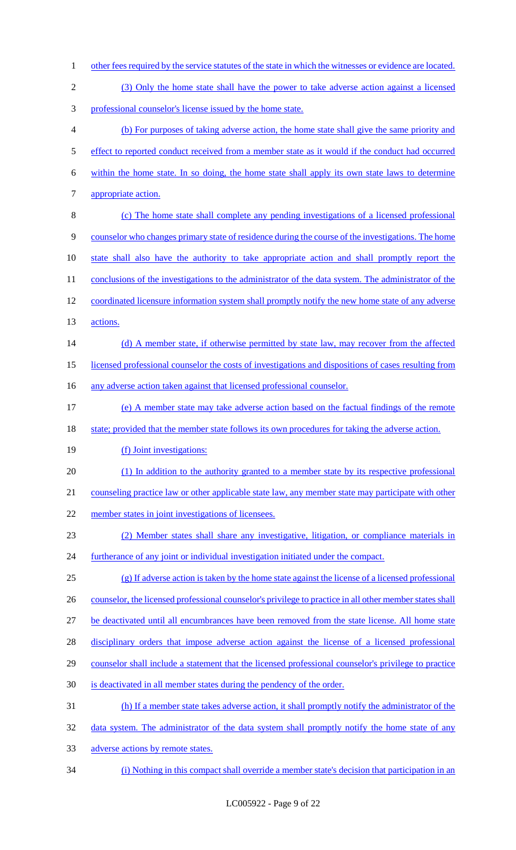1 other fees required by the service statutes of the state in which the witnesses or evidence are located. (3) Only the home state shall have the power to take adverse action against a licensed professional counselor's license issued by the home state. (b) For purposes of taking adverse action, the home state shall give the same priority and 5 effect to reported conduct received from a member state as it would if the conduct had occurred within the home state. In so doing, the home state shall apply its own state laws to determine appropriate action. (c) The home state shall complete any pending investigations of a licensed professional counselor who changes primary state of residence during the course of the investigations. The home state shall also have the authority to take appropriate action and shall promptly report the 11 conclusions of the investigations to the administrator of the data system. The administrator of the coordinated licensure information system shall promptly notify the new home state of any adverse actions. 14 (d) A member state, if otherwise permitted by state law, may recover from the affected licensed professional counselor the costs of investigations and dispositions of cases resulting from 16 any adverse action taken against that licensed professional counselor. (e) A member state may take adverse action based on the factual findings of the remote 18 state; provided that the member state follows its own procedures for taking the adverse action. 19 (f) Joint investigations: (1) In addition to the authority granted to a member state by its respective professional counseling practice law or other applicable state law, any member state may participate with other member states in joint investigations of licensees. (2) Member states shall share any investigative, litigation, or compliance materials in furtherance of any joint or individual investigation initiated under the compact. (g) If adverse action is taken by the home state against the license of a licensed professional 26 counselor, the licensed professional counselor's privilege to practice in all other member states shall be deactivated until all encumbrances have been removed from the state license. All home state 28 disciplinary orders that impose adverse action against the license of a licensed professional counselor shall include a statement that the licensed professional counselor's privilege to practice is deactivated in all member states during the pendency of the order. (h) If a member state takes adverse action, it shall promptly notify the administrator of the 32 data system. The administrator of the data system shall promptly notify the home state of any adverse actions by remote states. (i) Nothing in this compact shall override a member state's decision that participation in an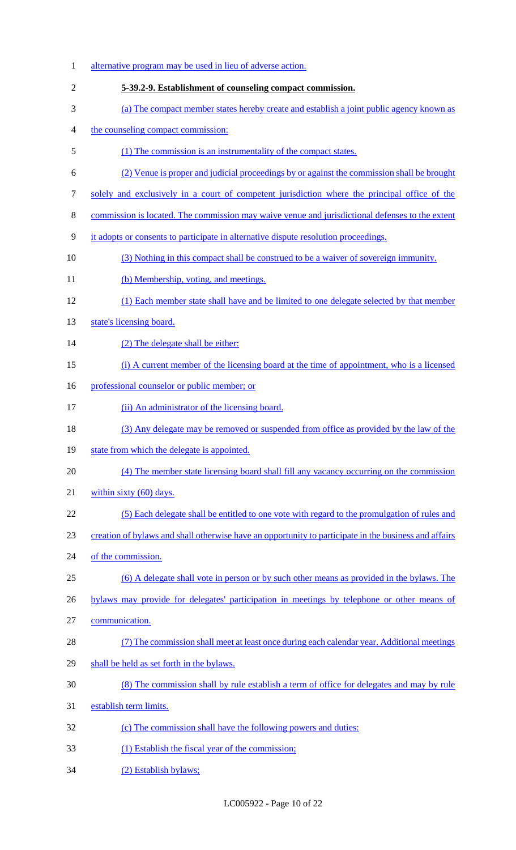| $\mathbf{1}$     | alternative program may be used in lieu of adverse action.                                            |
|------------------|-------------------------------------------------------------------------------------------------------|
| $\mathbf{2}$     | 5-39.2-9. Establishment of counseling compact commission.                                             |
| 3                | (a) The compact member states hereby create and establish a joint public agency known as              |
| $\overline{4}$   | the counseling compact commission:                                                                    |
| 5                | (1) The commission is an instrumentality of the compact states.                                       |
| 6                | (2) Venue is proper and judicial proceedings by or against the commission shall be brought            |
| $\boldsymbol{7}$ | solely and exclusively in a court of competent jurisdiction where the principal office of the         |
| $8\,$            | commission is located. The commission may waive venue and jurisdictional defenses to the extent       |
| 9                | it adopts or consents to participate in alternative dispute resolution proceedings.                   |
| 10               | (3) Nothing in this compact shall be construed to be a waiver of sovereign immunity.                  |
| 11               | (b) Membership, voting, and meetings.                                                                 |
| 12               | (1) Each member state shall have and be limited to one delegate selected by that member               |
| 13               | state's licensing board.                                                                              |
| 14               | (2) The delegate shall be either:                                                                     |
| 15               | (i) A current member of the licensing board at the time of appointment, who is a licensed             |
| 16               | professional counselor or public member; or                                                           |
| 17               | (ii) An administrator of the licensing board.                                                         |
| 18               | (3) Any delegate may be removed or suspended from office as provided by the law of the                |
| 19               | state from which the delegate is appointed.                                                           |
| 20               | (4) The member state licensing board shall fill any vacancy occurring on the commission               |
| 21               | within sixty $(60)$ days.                                                                             |
| 22               | (5) Each delegate shall be entitled to one vote with regard to the promulgation of rules and          |
| 23               | creation of bylaws and shall otherwise have an opportunity to participate in the business and affairs |
| 24               | of the commission.                                                                                    |
| 25               | (6) A delegate shall vote in person or by such other means as provided in the bylaws. The             |
| 26               | bylaws may provide for delegates' participation in meetings by telephone or other means of            |
| 27               | communication.                                                                                        |
| 28               | (7) The commission shall meet at least once during each calendar year. Additional meetings            |
| 29               | shall be held as set forth in the bylaws.                                                             |
| 30               | (8) The commission shall by rule establish a term of office for delegates and may by rule             |
| 31               | establish term limits.                                                                                |
| 32               | (c) The commission shall have the following powers and duties:                                        |
| 33               | (1) Establish the fiscal year of the commission;                                                      |
| 34               | (2) Establish bylaws;                                                                                 |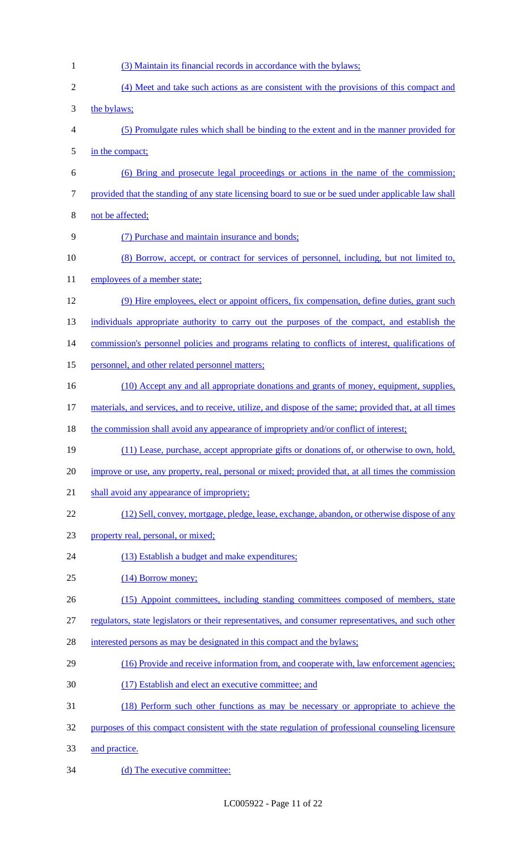- (3) Maintain its financial records in accordance with the bylaws; (4) Meet and take such actions as are consistent with the provisions of this compact and the bylaws; (5) Promulgate rules which shall be binding to the extent and in the manner provided for in the compact; (6) Bring and prosecute legal proceedings or actions in the name of the commission; provided that the standing of any state licensing board to sue or be sued under applicable law shall not be affected; (7) Purchase and maintain insurance and bonds; (8) Borrow, accept, or contract for services of personnel, including, but not limited to, 11 employees of a member state; (9) Hire employees, elect or appoint officers, fix compensation, define duties, grant such individuals appropriate authority to carry out the purposes of the compact, and establish the 14 commission's personnel policies and programs relating to conflicts of interest, qualifications of 15 personnel, and other related personnel matters; 16 (10) Accept any and all appropriate donations and grants of money, equipment, supplies, materials, and services, and to receive, utilize, and dispose of the same; provided that, at all times 18 the commission shall avoid any appearance of impropriety and/or conflict of interest; (11) Lease, purchase, accept appropriate gifts or donations of, or otherwise to own, hold, improve or use, any property, real, personal or mixed; provided that, at all times the commission 21 shall avoid any appearance of impropriety; (12) Sell, convey, mortgage, pledge, lease, exchange, abandon, or otherwise dispose of any property real, personal, or mixed; 24 (13) Establish a budget and make expenditures; (14) Borrow money; (15) Appoint committees, including standing committees composed of members, state regulators, state legislators or their representatives, and consumer representatives, and such other 28 interested persons as may be designated in this compact and the bylaws; (16) Provide and receive information from, and cooperate with, law enforcement agencies; (17) Establish and elect an executive committee; and (18) Perform such other functions as may be necessary or appropriate to achieve the purposes of this compact consistent with the state regulation of professional counseling licensure and practice.
- 34 (d) The executive committee: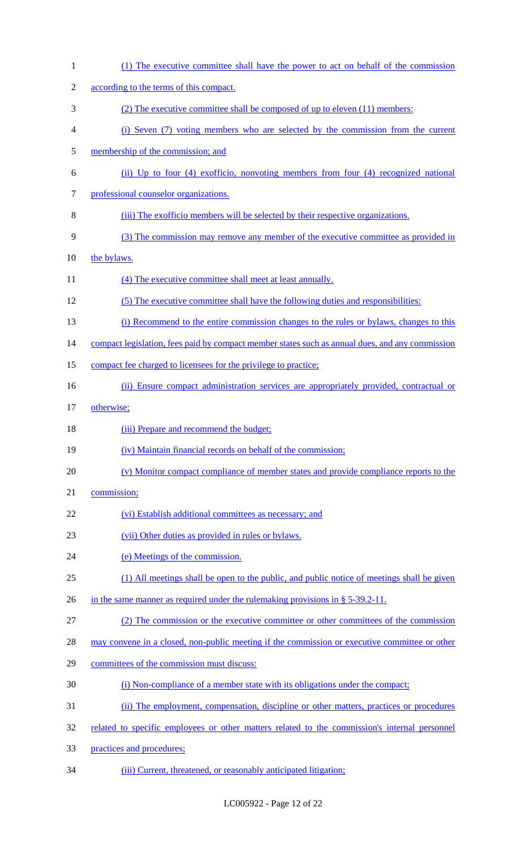| $\mathbf{1}$   | (1) The executive committee shall have the power to act on behalf of the commission             |
|----------------|-------------------------------------------------------------------------------------------------|
| $\overline{2}$ | according to the terms of this compact.                                                         |
| 3              | (2) The executive committee shall be composed of up to eleven (11) members:                     |
| 4              | (i) Seven (7) voting members who are selected by the commission from the current                |
| 5              | membership of the commission; and                                                               |
| 6              | (ii) Up to four (4) exofficio, nonvoting members from four (4) recognized national              |
| 7              | professional counselor organizations.                                                           |
| 8              | (iii) The exofficio members will be selected by their respective organizations.                 |
| 9              | (3) The commission may remove any member of the executive committee as provided in              |
| 10             | the bylaws.                                                                                     |
| 11             | (4) The executive committee shall meet at least annually.                                       |
| 12             | (5) The executive committee shall have the following duties and responsibilities:               |
| 13             | (i) Recommend to the entire commission changes to the rules or bylaws, changes to this          |
| 14             | compact legislation, fees paid by compact member states such as annual dues, and any commission |
| 15             | compact fee charged to licensees for the privilege to practice;                                 |
| 16             | (ii) Ensure compact administration services are appropriately provided, contractual or          |
| 17             | otherwise;                                                                                      |
| 18             | (iii) Prepare and recommend the budget;                                                         |
| 19             | (iv) Maintain financial records on behalf of the commission;                                    |
| 20             | (v) Monitor compact compliance of member states and provide compliance reports to the           |
| 21             | commission;                                                                                     |
| 22             | (vi) Establish additional committees as necessary; and                                          |
| 23             | (vii) Other duties as provided in rules or bylaws.                                              |
| 24             | (e) Meetings of the commission.                                                                 |
| 25             | (1) All meetings shall be open to the public, and public notice of meetings shall be given      |
| 26             | in the same manner as required under the rule making provisions in $\S$ 5-39.2-11.              |
| 27             | (2) The commission or the executive committee or other committees of the commission             |
| 28             | may convene in a closed, non-public meeting if the commission or executive committee or other   |
| 29             | committees of the commission must discuss:                                                      |
| 30             | (i) Non-compliance of a member state with its obligations under the compact;                    |
| 31             | (ii) The employment, compensation, discipline or other matters, practices or procedures         |
| 32             | related to specific employees or other matters related to the commission's internal personnel   |
| 33             | practices and procedures;                                                                       |
| 34             | (iii) Current, threatened, or reasonably anticipated litigation;                                |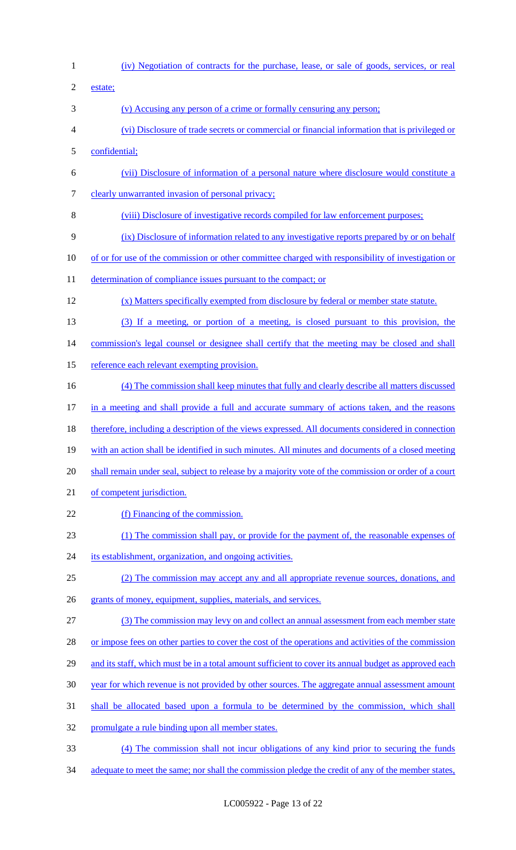(iv) Negotiation of contracts for the purchase, lease, or sale of goods, services, or real estate; (v) Accusing any person of a crime or formally censuring any person; (vi) Disclosure of trade secrets or commercial or financial information that is privileged or confidential; (vii) Disclosure of information of a personal nature where disclosure would constitute a clearly unwarranted invasion of personal privacy; (viii) Disclosure of investigative records compiled for law enforcement purposes; (ix) Disclosure of information related to any investigative reports prepared by or on behalf of or for use of the commission or other committee charged with responsibility of investigation or 11 determination of compliance issues pursuant to the compact; or (x) Matters specifically exempted from disclosure by federal or member state statute. (3) If a meeting, or portion of a meeting, is closed pursuant to this provision, the 14 commission's legal counsel or designee shall certify that the meeting may be closed and shall 15 reference each relevant exempting provision. (4) The commission shall keep minutes that fully and clearly describe all matters discussed in a meeting and shall provide a full and accurate summary of actions taken, and the reasons 18 therefore, including a description of the views expressed. All documents considered in connection with an action shall be identified in such minutes. All minutes and documents of a closed meeting shall remain under seal, subject to release by a majority vote of the commission or order of a court 21 of competent jurisdiction. 22 (f) Financing of the commission. (1) The commission shall pay, or provide for the payment of, the reasonable expenses of 24 its establishment, organization, and ongoing activities. (2) The commission may accept any and all appropriate revenue sources, donations, and 26 grants of money, equipment, supplies, materials, and services. (3) The commission may levy on and collect an annual assessment from each member state 28 or impose fees on other parties to cover the cost of the operations and activities of the commission 29 and its staff, which must be in a total amount sufficient to cover its annual budget as approved each year for which revenue is not provided by other sources. The aggregate annual assessment amount shall be allocated based upon a formula to be determined by the commission, which shall promulgate a rule binding upon all member states. (4) The commission shall not incur obligations of any kind prior to securing the funds 34 adequate to meet the same; nor shall the commission pledge the credit of any of the member states,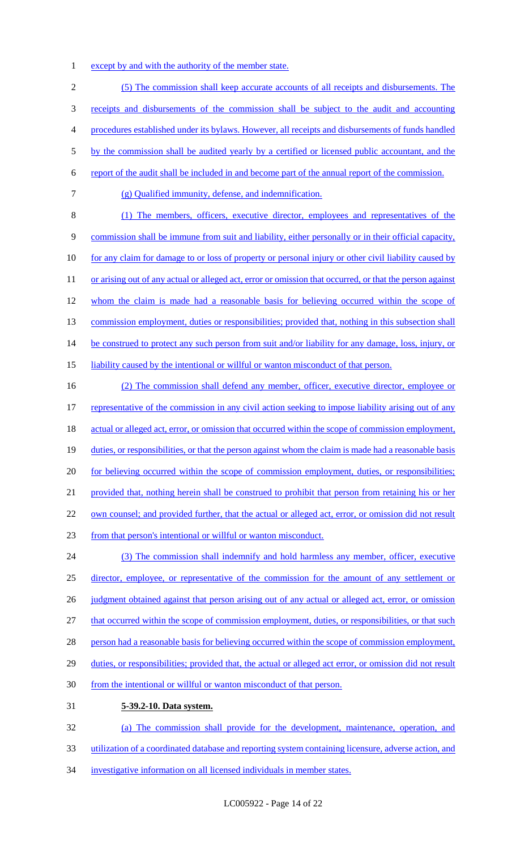1 except by and with the authority of the member state.

 (5) The commission shall keep accurate accounts of all receipts and disbursements. The receipts and disbursements of the commission shall be subject to the audit and accounting procedures established under its bylaws. However, all receipts and disbursements of funds handled by the commission shall be audited yearly by a certified or licensed public accountant, and the report of the audit shall be included in and become part of the annual report of the commission. (g) Qualified immunity, defense, and indemnification. (1) The members, officers, executive director, employees and representatives of the commission shall be immune from suit and liability, either personally or in their official capacity, 10 for any claim for damage to or loss of property or personal injury or other civil liability caused by 11 or arising out of any actual or alleged act, error or omission that occurred, or that the person against 12 whom the claim is made had a reasonable basis for believing occurred within the scope of 13 commission employment, duties or responsibilities; provided that, nothing in this subsection shall 14 be construed to protect any such person from suit and/or liability for any damage, loss, injury, or liability caused by the intentional or willful or wanton misconduct of that person.

16 (2) The commission shall defend any member, officer, executive director, employee or 17 representative of the commission in any civil action seeking to impose liability arising out of any 18 actual or alleged act, error, or omission that occurred within the scope of commission employment, 19 duties, or responsibilities, or that the person against whom the claim is made had a reasonable basis 20 for believing occurred within the scope of commission employment, duties, or responsibilities; 21 provided that, nothing herein shall be construed to prohibit that person from retaining his or her 22 own counsel; and provided further, that the actual or alleged act, error, or omission did not result 23 from that person's intentional or willful or wanton misconduct. 24 (3) The commission shall indemnify and hold harmless any member, officer, executive 25 director, employee, or representative of the commission for the amount of any settlement or 26 judgment obtained against that person arising out of any actual or alleged act, error, or omission 27 that occurred within the scope of commission employment, duties, or responsibilities, or that such

- 28 person had a reasonable basis for believing occurred within the scope of commission employment,
- 29 duties, or responsibilities; provided that, the actual or alleged act error, or omission did not result
- 30 from the intentional or willful or wanton misconduct of that person.
- 31 **5-39.2-10. Data system.**

32 (a) The commission shall provide for the development, maintenance, operation, and 33 utilization of a coordinated database and reporting system containing licensure, adverse action, and 34 investigative information on all licensed individuals in member states.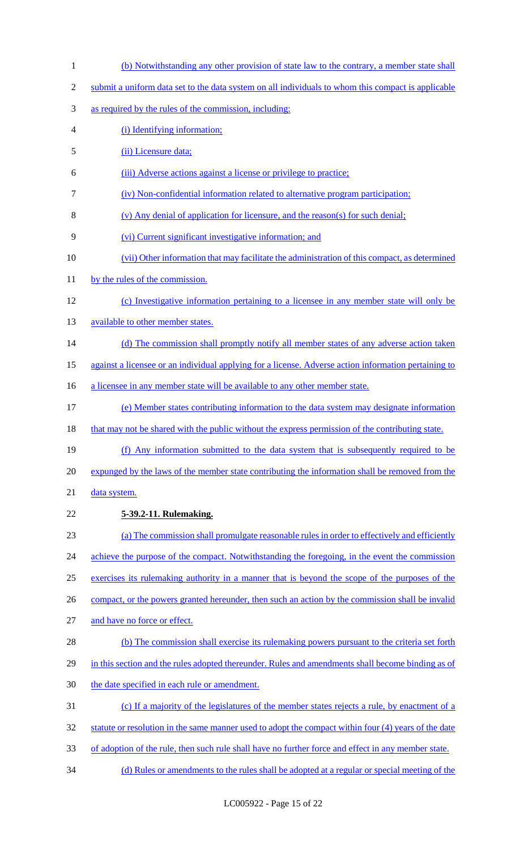- (b) Notwithstanding any other provision of state law to the contrary, a member state shall
- submit a uniform data set to the data system on all individuals to whom this compact is applicable
- as required by the rules of the commission, including:
- (i) Identifying information;
- (ii) Licensure data;
- (iii) Adverse actions against a license or privilege to practice;
- (iv) Non-confidential information related to alternative program participation;
- (v) Any denial of application for licensure, and the reason(s) for such denial;
- (vi) Current significant investigative information; and
- (vii) Other information that may facilitate the administration of this compact, as determined
- 11 by the rules of the commission.
- (c) Investigative information pertaining to a licensee in any member state will only be
- 13 available to other member states.
- 14 (d) The commission shall promptly notify all member states of any adverse action taken
- against a licensee or an individual applying for a license. Adverse action information pertaining to
- 16 a licensee in any member state will be available to any other member state.
- (e) Member states contributing information to the data system may designate information
- 18 that may not be shared with the public without the express permission of the contributing state.
- (f) Any information submitted to the data system that is subsequently required to be
- expunged by the laws of the member state contributing the information shall be removed from the
- 21 data system.
- **5-39.2-11. Rulemaking.**
- (a) The commission shall promulgate reasonable rules in order to effectively and efficiently
- 24 achieve the purpose of the compact. Notwithstanding the foregoing, in the event the commission
- exercises its rulemaking authority in a manner that is beyond the scope of the purposes of the
- 26 compact, or the powers granted hereunder, then such an action by the commission shall be invalid
- and have no force or effect.
- 28 (b) The commission shall exercise its rulemaking powers pursuant to the criteria set forth
- 29 in this section and the rules adopted thereunder. Rules and amendments shall become binding as of
- 30 the date specified in each rule or amendment.
- (c) If a majority of the legislatures of the member states rejects a rule, by enactment of a
- 32 statute or resolution in the same manner used to adopt the compact within four (4) years of the date
- of adoption of the rule, then such rule shall have no further force and effect in any member state.
- (d) Rules or amendments to the rules shall be adopted at a regular or special meeting of the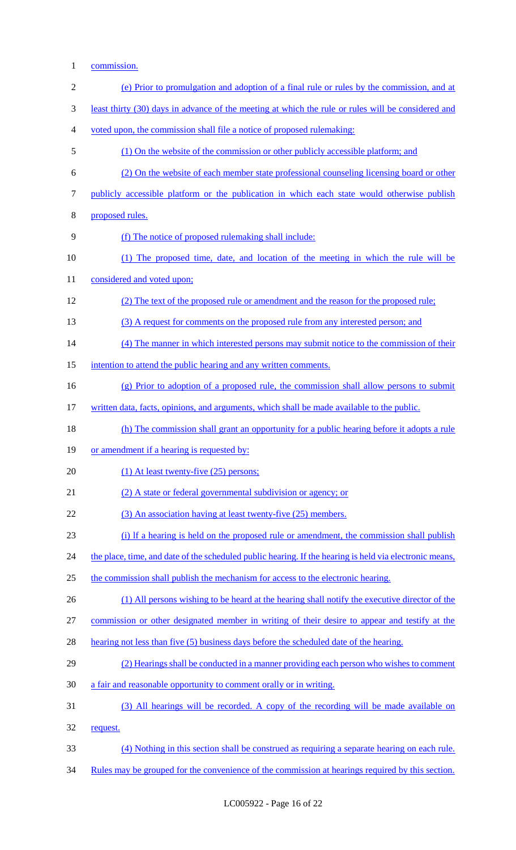1 commission.

| $\mathbf{2}$   | (e) Prior to promulgation and adoption of a final rule or rules by the commission, and at               |
|----------------|---------------------------------------------------------------------------------------------------------|
| 3              | least thirty (30) days in advance of the meeting at which the rule or rules will be considered and      |
| $\overline{4}$ | voted upon, the commission shall file a notice of proposed rulemaking:                                  |
| 5              | (1) On the website of the commission or other publicly accessible platform; and                         |
| 6              | (2) On the website of each member state professional counseling licensing board or other                |
| 7              | publicly accessible platform or the publication in which each state would otherwise publish             |
| $8\,$          | proposed rules.                                                                                         |
| 9              | (f) The notice of proposed rulemaking shall include:                                                    |
| 10             | (1) The proposed time, date, and location of the meeting in which the rule will be                      |
| 11             | considered and voted upon;                                                                              |
| 12             | (2) The text of the proposed rule or amendment and the reason for the proposed rule;                    |
| 13             | (3) A request for comments on the proposed rule from any interested person; and                         |
| 14             | (4) The manner in which interested persons may submit notice to the commission of their                 |
| 15             | intention to attend the public hearing and any written comments.                                        |
| 16             | (g) Prior to adoption of a proposed rule, the commission shall allow persons to submit                  |
| 17             | written data, facts, opinions, and arguments, which shall be made available to the public.              |
| 18             | (h) The commission shall grant an opportunity for a public hearing before it adopts a rule              |
| 19             | or amendment if a hearing is requested by:                                                              |
| 20             | $(1)$ At least twenty-five $(25)$ persons;                                                              |
| 21             | (2) A state or federal governmental subdivision or agency; or                                           |
| 22             | (3) An association having at least twenty-five (25) members.                                            |
| 23             | (i) If a hearing is held on the proposed rule or amendment, the commission shall publish                |
| 24             | the place, time, and date of the scheduled public hearing. If the hearing is held via electronic means, |
| 25             | the commission shall publish the mechanism for access to the electronic hearing.                        |
| 26             | (1) All persons wishing to be heard at the hearing shall notify the executive director of the           |
| 27             | commission or other designated member in writing of their desire to appear and testify at the           |
| 28             | hearing not less than five (5) business days before the scheduled date of the hearing.                  |
| 29             | (2) Hearings shall be conducted in a manner providing each person who wishes to comment                 |
| 30             | a fair and reasonable opportunity to comment orally or in writing.                                      |
| 31             | (3) All hearings will be recorded. A copy of the recording will be made available on                    |
| 32             | request.                                                                                                |
| 33             | (4) Nothing in this section shall be construed as requiring a separate hearing on each rule.            |
| 34             | Rules may be grouped for the convenience of the commission at hearings required by this section.        |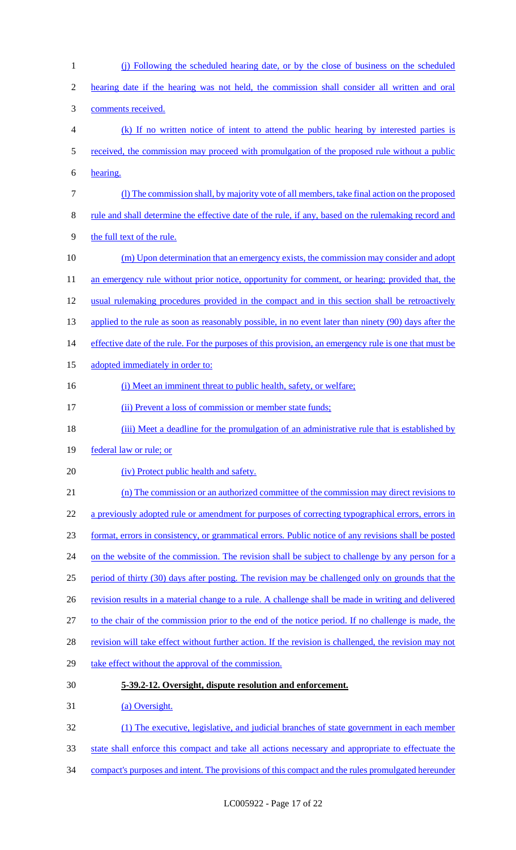| 1              | (j) Following the scheduled hearing date, or by the close of business on the scheduled                |
|----------------|-------------------------------------------------------------------------------------------------------|
| $\overline{2}$ | hearing date if the hearing was not held, the commission shall consider all written and oral          |
| 3              | comments received.                                                                                    |
| 4              | (k) If no written notice of intent to attend the public hearing by interested parties is              |
| 5              | received, the commission may proceed with promulgation of the proposed rule without a public          |
| 6              | hearing.                                                                                              |
| $\tau$         | (1) The commission shall, by majority vote of all members, take final action on the proposed          |
| 8              | rule and shall determine the effective date of the rule, if any, based on the rule making record and  |
| 9              | the full text of the rule.                                                                            |
| 10             | (m) Upon determination that an emergency exists, the commission may consider and adopt                |
| 11             | an emergency rule without prior notice, opportunity for comment, or hearing; provided that, the       |
| 12             | usual rulemaking procedures provided in the compact and in this section shall be retroactively        |
| 13             | applied to the rule as soon as reasonably possible, in no event later than ninety (90) days after the |
| 14             | effective date of the rule. For the purposes of this provision, an emergency rule is one that must be |
| 15             | adopted immediately in order to:                                                                      |
| 16             | (i) Meet an imminent threat to public health, safety, or welfare;                                     |
| 17             | (ii) Prevent a loss of commission or member state funds;                                              |
| 18             | (iii) Meet a deadline for the promulgation of an administrative rule that is established by           |
| 19             | federal law or rule; or                                                                               |
| 20             | (iv) Protect public health and safety.                                                                |
| 21             | (n) The commission or an authorized committee of the commission may direct revisions to               |
| 22             | a previously adopted rule or amendment for purposes of correcting typographical errors, errors in     |
| 23             | format, errors in consistency, or grammatical errors. Public notice of any revisions shall be posted  |
| 24             | on the website of the commission. The revision shall be subject to challenge by any person for a      |
| 25             | period of thirty (30) days after posting. The revision may be challenged only on grounds that the     |
| 26             | revision results in a material change to a rule. A challenge shall be made in writing and delivered   |
| 27             | to the chair of the commission prior to the end of the notice period. If no challenge is made, the    |
| 28             | revision will take effect without further action. If the revision is challenged, the revision may not |
| 29             | take effect without the approval of the commission.                                                   |
| 30             | 5-39.2-12. Oversight, dispute resolution and enforcement.                                             |
| 31             |                                                                                                       |
|                | (a) Oversight.                                                                                        |
| 32             | (1) The executive, legislative, and judicial branches of state government in each member              |
| 33             | state shall enforce this compact and take all actions necessary and appropriate to effectuate the     |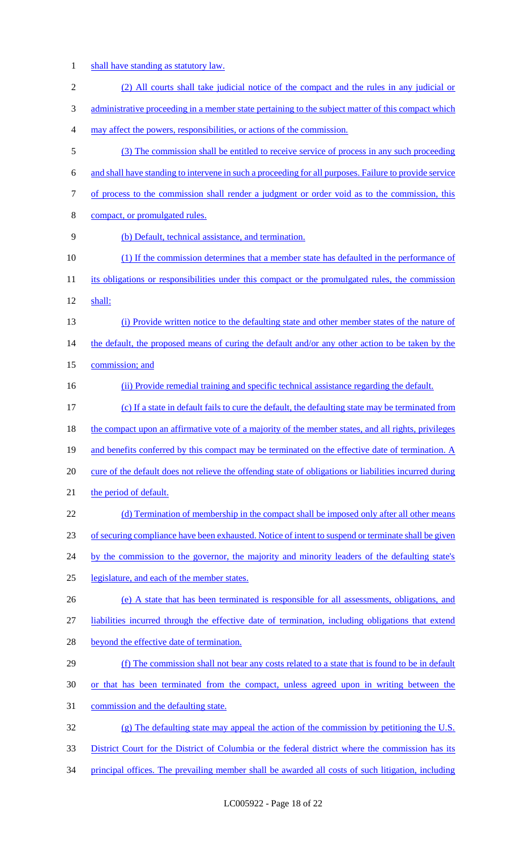1 shall have standing as statutory law.

| $\overline{2}$ | (2) All courts shall take judicial notice of the compact and the rules in any judicial or              |
|----------------|--------------------------------------------------------------------------------------------------------|
|                |                                                                                                        |
| 3              | administrative proceeding in a member state pertaining to the subject matter of this compact which     |
| 4              | may affect the powers, responsibilities, or actions of the commission.                                 |
| 5              | (3) The commission shall be entitled to receive service of process in any such proceeding              |
| 6              | and shall have standing to intervene in such a proceeding for all purposes. Failure to provide service |
| 7              | of process to the commission shall render a judgment or order void as to the commission, this          |
| 8              | compact, or promulgated rules.                                                                         |
| 9              | (b) Default, technical assistance, and termination.                                                    |
| 10             | (1) If the commission determines that a member state has defaulted in the performance of               |
| 11             | its obligations or responsibilities under this compact or the promulgated rules, the commission        |
| 12             | shall:                                                                                                 |
| 13             | (i) Provide written notice to the defaulting state and other member states of the nature of            |
| 14             | the default, the proposed means of curing the default and/or any other action to be taken by the       |
| 15             | commission; and                                                                                        |
| 16             | (ii) Provide remedial training and specific technical assistance regarding the default.                |
| 17             | (c) If a state in default fails to cure the default, the defaulting state may be terminated from       |
| 18             | the compact upon an affirmative vote of a majority of the member states, and all rights, privileges    |
| 19             | and benefits conferred by this compact may be terminated on the effective date of termination. A       |
| 20             | cure of the default does not relieve the offending state of obligations or liabilities incurred during |
| 21             | the period of default.                                                                                 |
| 22             | (d) Termination of membership in the compact shall be imposed only after all other means               |
| 23             | of securing compliance have been exhausted. Notice of intent to suspend or terminate shall be given    |
| 24             | by the commission to the governor, the majority and minority leaders of the defaulting state's         |
| 25             | legislature, and each of the member states.                                                            |
| 26             | (e) A state that has been terminated is responsible for all assessments, obligations, and              |
| 27             | liabilities incurred through the effective date of termination, including obligations that extend      |
| 28             | beyond the effective date of termination.                                                              |
| 29             | (f) The commission shall not bear any costs related to a state that is found to be in default          |
| 30             | or that has been terminated from the compact, unless agreed upon in writing between the                |
| 31             | commission and the defaulting state.                                                                   |
| 32             | $(g)$ The defaulting state may appeal the action of the commission by petitioning the U.S.             |
| 33             | District Court for the District of Columbia or the federal district where the commission has its       |
| 34             | principal offices. The prevailing member shall be awarded all costs of such litigation, including      |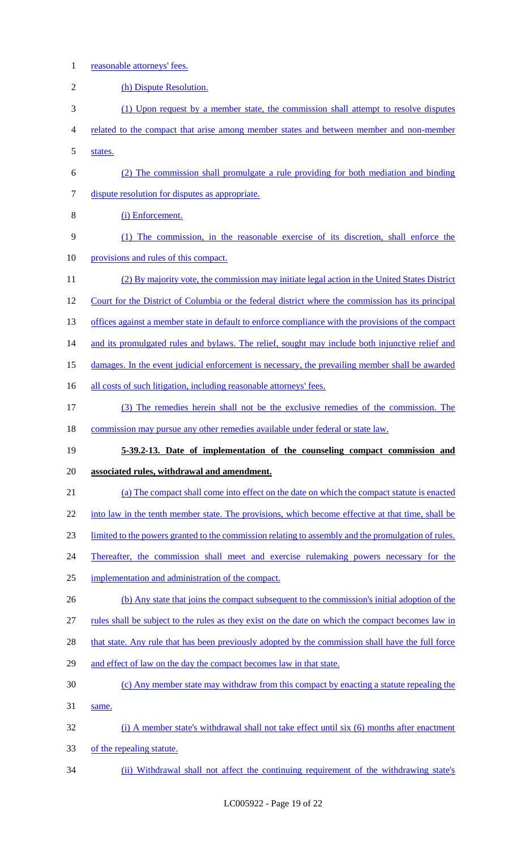- reasonable attorneys' fees.
- 2 (h) Dispute Resolution. (1) Upon request by a member state, the commission shall attempt to resolve disputes related to the compact that arise among member states and between member and non-member states. (2) The commission shall promulgate a rule providing for both mediation and binding dispute resolution for disputes as appropriate. (i) Enforcement. (1) The commission, in the reasonable exercise of its discretion, shall enforce the 10 provisions and rules of this compact. (2) By majority vote, the commission may initiate legal action in the United States District Court for the District of Columbia or the federal district where the commission has its principal 13 offices against a member state in default to enforce compliance with the provisions of the compact 14 and its promulgated rules and bylaws. The relief, sought may include both injunctive relief and 15 damages. In the event judicial enforcement is necessary, the prevailing member shall be awarded 16 all costs of such litigation, including reasonable attorneys' fees. (3) The remedies herein shall not be the exclusive remedies of the commission. The 18 commission may pursue any other remedies available under federal or state law. **5-39.2-13. Date of implementation of the counseling compact commission and associated rules, withdrawal and amendment.**  (a) The compact shall come into effect on the date on which the compact statute is enacted 22 into law in the tenth member state. The provisions, which become effective at that time, shall be limited to the powers granted to the commission relating to assembly and the promulgation of rules. 24 Thereafter, the commission shall meet and exercise rulemaking powers necessary for the implementation and administration of the compact. 26 (b) Any state that joins the compact subsequent to the commission's initial adoption of the rules shall be subject to the rules as they exist on the date on which the compact becomes law in 28 that state. Any rule that has been previously adopted by the commission shall have the full force and effect of law on the day the compact becomes law in that state. (c) Any member state may withdraw from this compact by enacting a statute repealing the same. (i) A member state's withdrawal shall not take effect until six (6) months after enactment of the repealing statute. (ii) Withdrawal shall not affect the continuing requirement of the withdrawing state's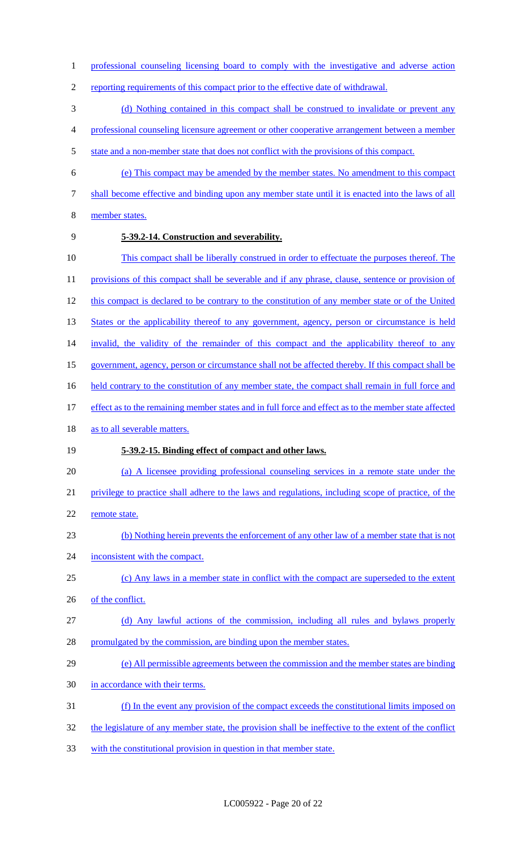- 1 professional counseling licensing board to comply with the investigative and adverse action
- reporting requirements of this compact prior to the effective date of withdrawal.
- (d) Nothing contained in this compact shall be construed to invalidate or prevent any
- professional counseling licensure agreement or other cooperative arrangement between a member
- 5 state and a non-member state that does not conflict with the provisions of this compact.
- (e) This compact may be amended by the member states. No amendment to this compact
- 
- shall become effective and binding upon any member state until it is enacted into the laws of all
- member states.
- 

### **5-39.2-14. Construction and severability.**

- This compact shall be liberally construed in order to effectuate the purposes thereof. The
- 11 provisions of this compact shall be severable and if any phrase, clause, sentence or provision of
- 12 this compact is declared to be contrary to the constitution of any member state or of the United
- 13 States or the applicability thereof to any government, agency, person or circumstance is held
- 14 invalid, the validity of the remainder of this compact and the applicability thereof to any
- government, agency, person or circumstance shall not be affected thereby. If this compact shall be
- 16 held contrary to the constitution of any member state, the compact shall remain in full force and
- effect as to the remaining member states and in full force and effect as to the member state affected
- 18 as to all severable matters.

### **5-39.2-15. Binding effect of compact and other laws.**

- (a) A licensee providing professional counseling services in a remote state under the
- privilege to practice shall adhere to the laws and regulations, including scope of practice, of the
- 22 remote state.
- (b) Nothing herein prevents the enforcement of any other law of a member state that is not
- 24 inconsistent with the compact.
- (c) Any laws in a member state in conflict with the compact are superseded to the extent
- 26 of the conflict.
- (d) Any lawful actions of the commission, including all rules and bylaws properly 28 promulgated by the commission, are binding upon the member states.
- (e) All permissible agreements between the commission and the member states are binding
- in accordance with their terms.
- (f) In the event any provision of the compact exceeds the constitutional limits imposed on
- the legislature of any member state, the provision shall be ineffective to the extent of the conflict
- with the constitutional provision in question in that member state.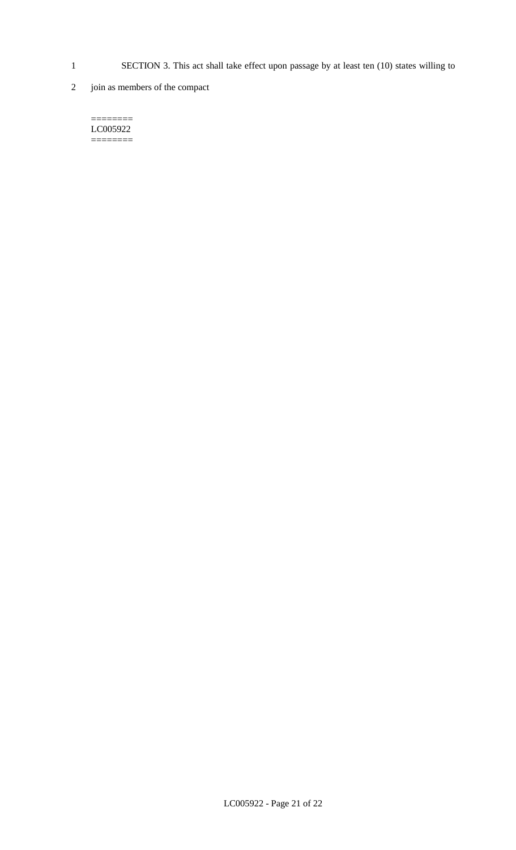- 1 SECTION 3. This act shall take effect upon passage by at least ten (10) states willing to
- 2 join as members of the compact

======== LC005922  $=$